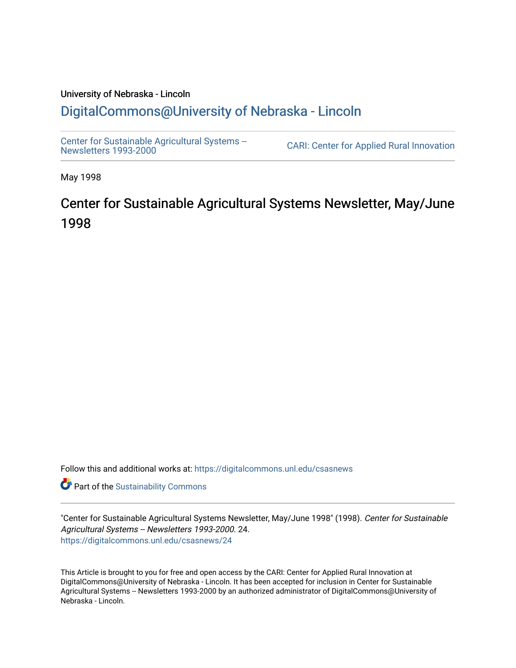#### University of Nebraska - Lincoln [DigitalCommons@University of Nebraska - Lincoln](https://digitalcommons.unl.edu/)

[Center for Sustainable Agricultural Systems --](https://digitalcommons.unl.edu/csasnews)<br>Newsletters 1993-2000

CARI: Center for Applied Rural Innovation

May 1998

### Center for Sustainable Agricultural Systems Newsletter, May/June 1998

Follow this and additional works at: [https://digitalcommons.unl.edu/csasnews](https://digitalcommons.unl.edu/csasnews?utm_source=digitalcommons.unl.edu%2Fcsasnews%2F24&utm_medium=PDF&utm_campaign=PDFCoverPages) 

**Part of the [Sustainability Commons](http://network.bepress.com/hgg/discipline/1031?utm_source=digitalcommons.unl.edu%2Fcsasnews%2F24&utm_medium=PDF&utm_campaign=PDFCoverPages)** 

"Center for Sustainable Agricultural Systems Newsletter, May/June 1998" (1998). Center for Sustainable Agricultural Systems -- Newsletters 1993-2000. 24. [https://digitalcommons.unl.edu/csasnews/24](https://digitalcommons.unl.edu/csasnews/24?utm_source=digitalcommons.unl.edu%2Fcsasnews%2F24&utm_medium=PDF&utm_campaign=PDFCoverPages) 

This Article is brought to you for free and open access by the CARI: Center for Applied Rural Innovation at DigitalCommons@University of Nebraska - Lincoln. It has been accepted for inclusion in Center for Sustainable Agricultural Systems -- Newsletters 1993-2000 by an authorized administrator of DigitalCommons@University of Nebraska - Lincoln.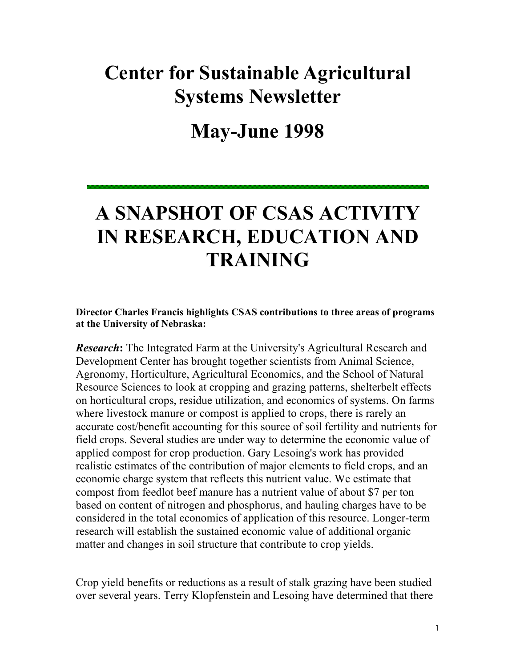# **Center for Sustainable Agricultural Systems Newsletter**

## **May-June 1998**

# **A SNAPSHOT OF CSAS ACTIVITY IN RESEARCH, EDUCATION AND TRAINING**

#### **Director Charles Francis highlights CSAS contributions to three areas of programs at the University of Nebraska:**

*Research***:** The Integrated Farm at the University's Agricultural Research and Development Center has brought together scientists from Animal Science, Agronomy, Horticulture, Agricultural Economics, and the School of Natural Resource Sciences to look at cropping and grazing patterns, shelterbelt effects on horticultural crops, residue utilization, and economics of systems. On farms where livestock manure or compost is applied to crops, there is rarely an accurate cost/benefit accounting for this source of soil fertility and nutrients for field crops. Several studies are under way to determine the economic value of applied compost for crop production. Gary Lesoing's work has provided realistic estimates of the contribution of major elements to field crops, and an economic charge system that reflects this nutrient value. We estimate that compost from feedlot beef manure has a nutrient value of about \$7 per ton based on content of nitrogen and phosphorus, and hauling charges have to be considered in the total economics of application of this resource. Longer-term research will establish the sustained economic value of additional organic matter and changes in soil structure that contribute to crop yields.

Crop yield benefits or reductions as a result of stalk grazing have been studied over several years. Terry Klopfenstein and Lesoing have determined that there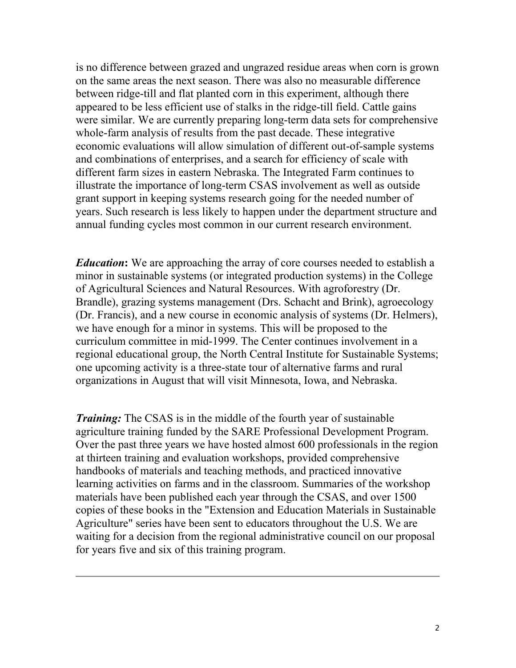is no difference between grazed and ungrazed residue areas when corn is grown on the same areas the next season. There was also no measurable difference between ridge-till and flat planted corn in this experiment, although there appeared to be less efficient use of stalks in the ridge-till field. Cattle gains were similar. We are currently preparing long-term data sets for comprehensive whole-farm analysis of results from the past decade. These integrative economic evaluations will allow simulation of different out-of-sample systems and combinations of enterprises, and a search for efficiency of scale with different farm sizes in eastern Nebraska. The Integrated Farm continues to illustrate the importance of long-term CSAS involvement as well as outside grant support in keeping systems research going for the needed number of years. Such research is less likely to happen under the department structure and annual funding cycles most common in our current research environment.

*Education*: We are approaching the array of core courses needed to establish a minor in sustainable systems (or integrated production systems) in the College of Agricultural Sciences and Natural Resources. With agroforestry (Dr. Brandle), grazing systems management (Drs. Schacht and Brink), agroecology (Dr. Francis), and a new course in economic analysis of systems (Dr. Helmers), we have enough for a minor in systems. This will be proposed to the curriculum committee in mid-1999. The Center continues involvement in a regional educational group, the North Central Institute for Sustainable Systems; one upcoming activity is a three-state tour of alternative farms and rural organizations in August that will visit Minnesota, Iowa, and Nebraska.

*Training:* The CSAS is in the middle of the fourth year of sustainable agriculture training funded by the SARE Professional Development Program. Over the past three years we have hosted almost 600 professionals in the region at thirteen training and evaluation workshops, provided comprehensive handbooks of materials and teaching methods, and practiced innovative learning activities on farms and in the classroom. Summaries of the workshop materials have been published each year through the CSAS, and over 1500 copies of these books in the "Extension and Education Materials in Sustainable Agriculture" series have been sent to educators throughout the U.S. We are waiting for a decision from the regional administrative council on our proposal for years five and six of this training program.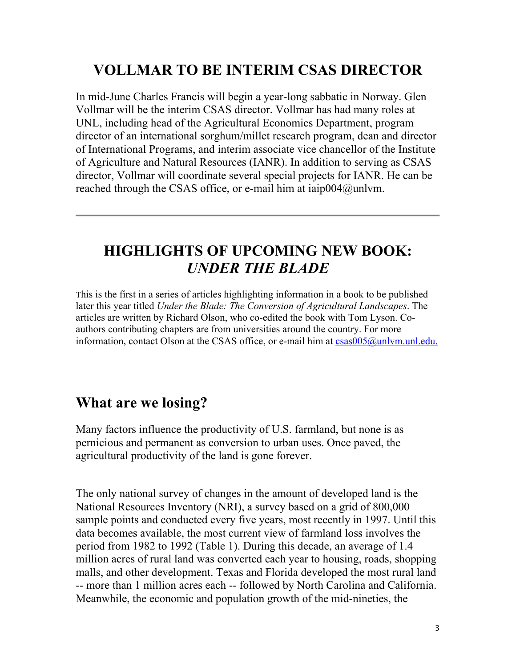### **VOLLMAR TO BE INTERIM CSAS DIRECTOR**

In mid-June Charles Francis will begin a year-long sabbatic in Norway. Glen Vollmar will be the interim CSAS director. Vollmar has had many roles at UNL, including head of the Agricultural Economics Department, program director of an international sorghum/millet research program, dean and director of International Programs, and interim associate vice chancellor of the Institute of Agriculture and Natural Resources (IANR). In addition to serving as CSAS director, Vollmar will coordinate several special projects for IANR. He can be reached through the CSAS office, or e-mail him at iaip004@unlvm.

#### **HIGHLIGHTS OF UPCOMING NEW BOOK:**  *UNDER THE BLADE*

This is the first in a series of articles highlighting information in a book to be published later this year titled *Under the Blade: The Conversion of Agricultural Landscapes*. The articles are written by Richard Olson, who co-edited the book with Tom Lyson. Coauthors contributing chapters are from universities around the country. For more information, contact Olson at the CSAS office, or e-mail him at  $csas005@unlvm.unl.edu$ .

#### **What are we losing?**

Many factors influence the productivity of U.S. farmland, but none is as pernicious and permanent as conversion to urban uses. Once paved, the agricultural productivity of the land is gone forever.

The only national survey of changes in the amount of developed land is the National Resources Inventory (NRI), a survey based on a grid of 800,000 sample points and conducted every five years, most recently in 1997. Until this data becomes available, the most current view of farmland loss involves the period from 1982 to 1992 (Table 1). During this decade, an average of 1.4 million acres of rural land was converted each year to housing, roads, shopping malls, and other development. Texas and Florida developed the most rural land -- more than 1 million acres each -- followed by North Carolina and California. Meanwhile, the economic and population growth of the mid-nineties, the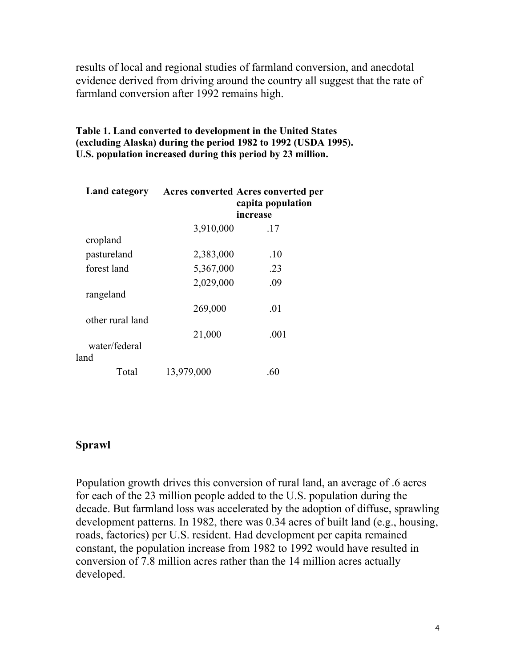results of local and regional studies of farmland conversion, and anecdotal evidence derived from driving around the country all suggest that the rate of farmland conversion after 1992 remains high.

**Table 1. Land converted to development in the United States (excluding Alaska) during the period 1982 to 1992 (USDA 1995). U.S. population increased during this period by 23 million.**

|                  |            | Land category Acres converted Acres converted per<br>capita population<br>increase |
|------------------|------------|------------------------------------------------------------------------------------|
|                  | 3,910,000  | .17                                                                                |
| cropland         |            |                                                                                    |
| pastureland      | 2,383,000  | .10                                                                                |
| forest land      | 5,367,000  | .23                                                                                |
|                  | 2,029,000  | .09                                                                                |
| rangeland        |            |                                                                                    |
|                  | 269,000    | .01                                                                                |
| other rural land |            |                                                                                    |
|                  | 21,000     | .001                                                                               |
| water/federal    |            |                                                                                    |
| land             |            |                                                                                    |
| Total            | 13,979,000 | .60                                                                                |

#### **Sprawl**

Population growth drives this conversion of rural land, an average of .6 acres for each of the 23 million people added to the U.S. population during the decade. But farmland loss was accelerated by the adoption of diffuse, sprawling development patterns. In 1982, there was 0.34 acres of built land (e.g., housing, roads, factories) per U.S. resident. Had development per capita remained constant, the population increase from 1982 to 1992 would have resulted in conversion of 7.8 million acres rather than the 14 million acres actually developed.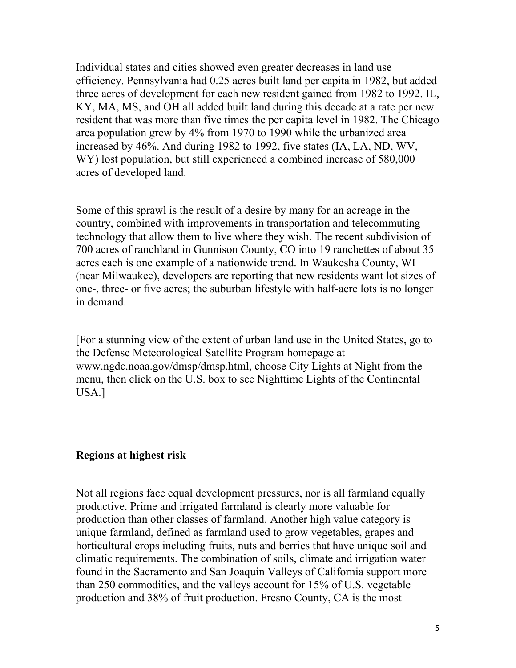Individual states and cities showed even greater decreases in land use efficiency. Pennsylvania had 0.25 acres built land per capita in 1982, but added three acres of development for each new resident gained from 1982 to 1992. IL, KY, MA, MS, and OH all added built land during this decade at a rate per new resident that was more than five times the per capita level in 1982. The Chicago area population grew by 4% from 1970 to 1990 while the urbanized area increased by 46%. And during 1982 to 1992, five states (IA, LA, ND, WV, WY) lost population, but still experienced a combined increase of 580,000 acres of developed land.

Some of this sprawl is the result of a desire by many for an acreage in the country, combined with improvements in transportation and telecommuting technology that allow them to live where they wish. The recent subdivision of 700 acres of ranchland in Gunnison County, CO into 19 ranchettes of about 35 acres each is one example of a nationwide trend. In Waukesha County, WI (near Milwaukee), developers are reporting that new residents want lot sizes of one-, three- or five acres; the suburban lifestyle with half-acre lots is no longer in demand.

[For a stunning view of the extent of urban land use in the United States, go to the Defense Meteorological Satellite Program homepage at www.ngdc.noaa.gov/dmsp/dmsp.html, choose City Lights at Night from the menu, then click on the U.S. box to see Nighttime Lights of the Continental USA.]

#### **Regions at highest risk**

Not all regions face equal development pressures, nor is all farmland equally productive. Prime and irrigated farmland is clearly more valuable for production than other classes of farmland. Another high value category is unique farmland, defined as farmland used to grow vegetables, grapes and horticultural crops including fruits, nuts and berries that have unique soil and climatic requirements. The combination of soils, climate and irrigation water found in the Sacramento and San Joaquin Valleys of California support more than 250 commodities, and the valleys account for 15% of U.S. vegetable production and 38% of fruit production. Fresno County, CA is the most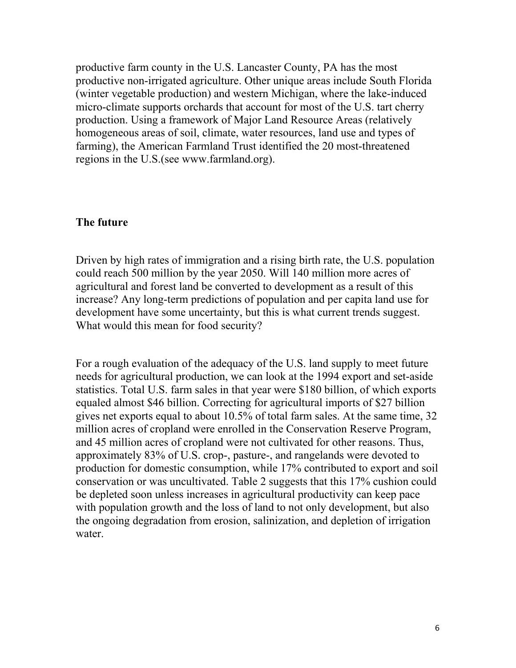productive farm county in the U.S. Lancaster County, PA has the most productive non-irrigated agriculture. Other unique areas include South Florida (winter vegetable production) and western Michigan, where the lake-induced micro-climate supports orchards that account for most of the U.S. tart cherry production. Using a framework of Major Land Resource Areas (relatively homogeneous areas of soil, climate, water resources, land use and types of farming), the American Farmland Trust identified the 20 most-threatened regions in the U.S.(see www.farmland.org).

#### **The future**

Driven by high rates of immigration and a rising birth rate, the U.S. population could reach 500 million by the year 2050. Will 140 million more acres of agricultural and forest land be converted to development as a result of this increase? Any long-term predictions of population and per capita land use for development have some uncertainty, but this is what current trends suggest. What would this mean for food security?

For a rough evaluation of the adequacy of the U.S. land supply to meet future needs for agricultural production, we can look at the 1994 export and set-aside statistics. Total U.S. farm sales in that year were \$180 billion, of which exports equaled almost \$46 billion. Correcting for agricultural imports of \$27 billion gives net exports equal to about 10.5% of total farm sales. At the same time, 32 million acres of cropland were enrolled in the Conservation Reserve Program, and 45 million acres of cropland were not cultivated for other reasons. Thus, approximately 83% of U.S. crop-, pasture-, and rangelands were devoted to production for domestic consumption, while 17% contributed to export and soil conservation or was uncultivated. Table 2 suggests that this 17% cushion could be depleted soon unless increases in agricultural productivity can keep pace with population growth and the loss of land to not only development, but also the ongoing degradation from erosion, salinization, and depletion of irrigation water.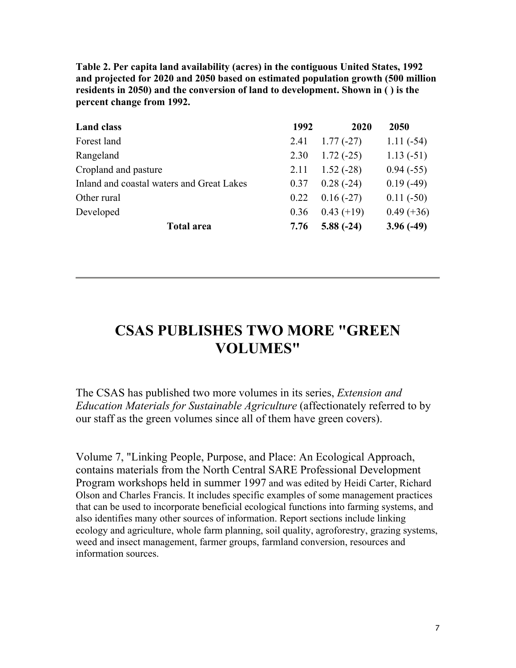**Table 2. Per capita land availability (acres) in the contiguous United States, 1992 and projected for 2020 and 2050 based on estimated population growth (500 million residents in 2050) and the conversion of land to development. Shown in ( ) is the percent change from 1992.** 

| <b>Land class</b>                         | 1992 | 2020         | 2050         |
|-------------------------------------------|------|--------------|--------------|
| Forest land                               | 2.41 | $1.77(-27)$  | $1.11(-54)$  |
| Rangeland                                 | 2.30 | $1.72(-25)$  | $1.13(-51)$  |
| Cropland and pasture                      | 2.11 | $1.52(-28)$  | $0.94(-55)$  |
| Inland and coastal waters and Great Lakes | 0.37 | $0.28(-24)$  | $0.19(-49)$  |
| Other rural                               | 0.22 | $0.16(-27)$  | $0.11(-50)$  |
| Developed                                 | 0.36 | $0.43 (+19)$ | $0.49 (+36)$ |
| <b>Total area</b>                         |      | $5.88(-24)$  | $3.96(-49)$  |

#### **CSAS PUBLISHES TWO MORE "GREEN VOLUMES"**

The CSAS has published two more volumes in its series, *Extension and Education Materials for Sustainable Agriculture* (affectionately referred to by our staff as the green volumes since all of them have green covers).

Volume 7, "Linking People, Purpose, and Place: An Ecological Approach, contains materials from the North Central SARE Professional Development Program workshops held in summer 1997 and was edited by Heidi Carter, Richard Olson and Charles Francis. It includes specific examples of some management practices that can be used to incorporate beneficial ecological functions into farming systems, and also identifies many other sources of information. Report sections include linking ecology and agriculture, whole farm planning, soil quality, agroforestry, grazing systems, weed and insect management, farmer groups, farmland conversion, resources and information sources.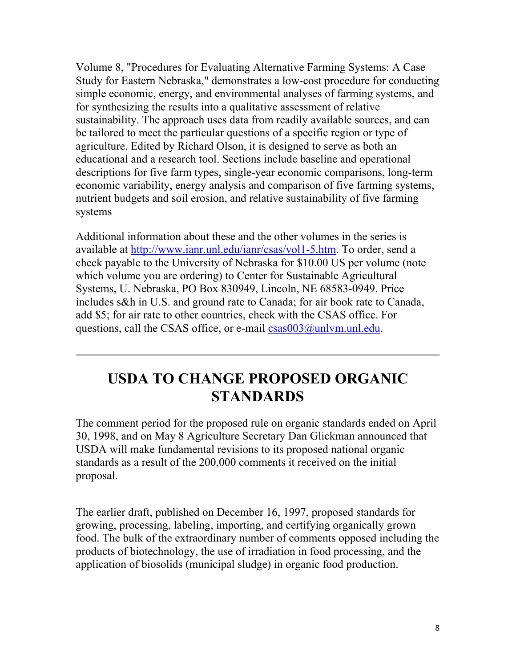Volume 8, "Procedures for Evaluating Alternative Farming Systems: A Case Study for Eastern Nebraska," demonstrates a low-cost procedure for conducting simple economic, energy, and environmental analyses of farming systems, and for synthesizing the results into a qualitative assessment of relative sustainability. The approach uses data from readily available sources, and can be tailored to meet the particular questions of a specific region or type of agriculture. Edited by Richard Olson, it is designed to serve as both an educational and a research tool. Sections include baseline and operational descriptions for five farm types, single-year economic comparisons, long-term economic variability, energy analysis and comparison of five farming systems, nutrient budgets and soil erosion, and relative sustainability of five farming systems

Additional information about these and the other volumes in the series is available at http://www.ianr.unl.edu/ianr/csas/vol1-5.htm. To order, send a check payable to the University of Nebraska for \$10.00 US per volume (note which volume you are ordering) to Center for Sustainable Agricultural Systems, U. Nebraska, PO Box 830949, Lincoln, NE 68583-0949. Price includes s&h in U.S. and ground rate to Canada; for air book rate to Canada, add \$5; for air rate to other countries, check with the CSAS office. For questions, call the CSAS office, or e-mail csas003@unlym.unl.edu.

### **USDA TO CHANGE PROPOSED ORGANIC STANDARDS**

The comment period for the proposed rule on organic standards ended on April 30, 1998, and on May 8 Agriculture Secretary Dan Glickman announced that USDA will make fundamental revisions to its proposed national organic standards as a result of the 200,000 comments it received on the initial proposal.

The earlier draft, published on December 16, 1997, proposed standards for growing, processing, labeling, importing, and certifying organically grown food. The bulk of the extraordinary number of comments opposed including the products of biotechnology, the use of irradiation in food processing, and the application of biosolids (municipal sludge) in organic food production.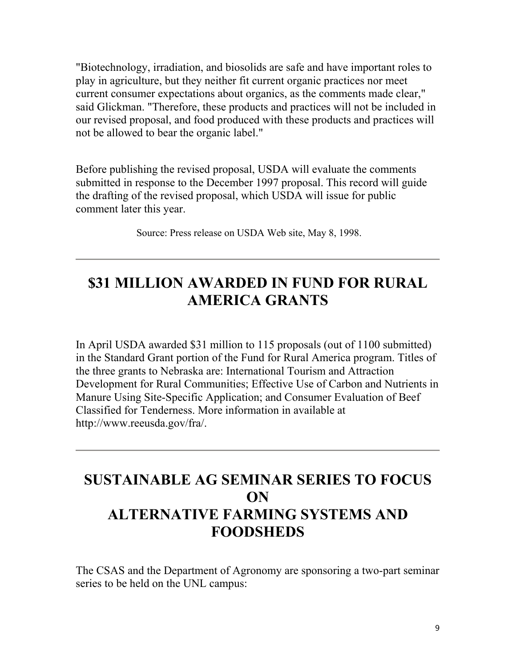"Biotechnology, irradiation, and biosolids are safe and have important roles to play in agriculture, but they neither fit current organic practices nor meet current consumer expectations about organics, as the comments made clear," said Glickman. "Therefore, these products and practices will not be included in our revised proposal, and food produced with these products and practices will not be allowed to bear the organic label."

Before publishing the revised proposal, USDA will evaluate the comments submitted in response to the December 1997 proposal. This record will guide the drafting of the revised proposal, which USDA will issue for public comment later this year.

Source: Press release on USDA Web site, May 8, 1998.

### **\$31 MILLION AWARDED IN FUND FOR RURAL AMERICA GRANTS**

In April USDA awarded \$31 million to 115 proposals (out of 1100 submitted) in the Standard Grant portion of the Fund for Rural America program. Titles of the three grants to Nebraska are: International Tourism and Attraction Development for Rural Communities; Effective Use of Carbon and Nutrients in Manure Using Site-Specific Application; and Consumer Evaluation of Beef Classified for Tenderness. More information in available at http://www.reeusda.gov/fra/.

### **SUSTAINABLE AG SEMINAR SERIES TO FOCUS ON ALTERNATIVE FARMING SYSTEMS AND FOODSHEDS**

The CSAS and the Department of Agronomy are sponsoring a two-part seminar series to be held on the UNL campus: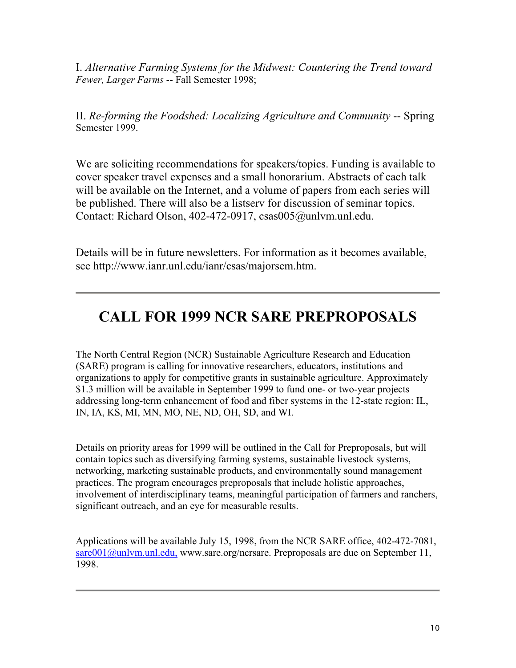I. *Alternative Farming Systems for the Midwest: Countering the Trend toward Fewer, Larger Farms* -- Fall Semester 1998;

II. *Re-forming the Foodshed: Localizing Agriculture and Community* -- Spring Semester 1999.

We are soliciting recommendations for speakers/topics. Funding is available to cover speaker travel expenses and a small honorarium. Abstracts of each talk will be available on the Internet, and a volume of papers from each series will be published. There will also be a listserv for discussion of seminar topics. Contact: Richard Olson, 402-472-0917, csas005@unlvm.unl.edu.

Details will be in future newsletters. For information as it becomes available, see http://www.ianr.unl.edu/ianr/csas/majorsem.htm.

### **CALL FOR 1999 NCR SARE PREPROPOSALS**

The North Central Region (NCR) Sustainable Agriculture Research and Education (SARE) program is calling for innovative researchers, educators, institutions and organizations to apply for competitive grants in sustainable agriculture. Approximately \$1.3 million will be available in September 1999 to fund one- or two-year projects addressing long-term enhancement of food and fiber systems in the 12-state region: IL, IN, IA, KS, MI, MN, MO, NE, ND, OH, SD, and WI.

Details on priority areas for 1999 will be outlined in the Call for Preproposals, but will contain topics such as diversifying farming systems, sustainable livestock systems, networking, marketing sustainable products, and environmentally sound management practices. The program encourages preproposals that include holistic approaches, involvement of interdisciplinary teams, meaningful participation of farmers and ranchers, significant outreach, and an eye for measurable results.

Applications will be available July 15, 1998, from the NCR SARE office, 402-472-7081, sare001@unlym.unl.edu, www.sare.org/ncrsare. Preproposals are due on September 11, 1998.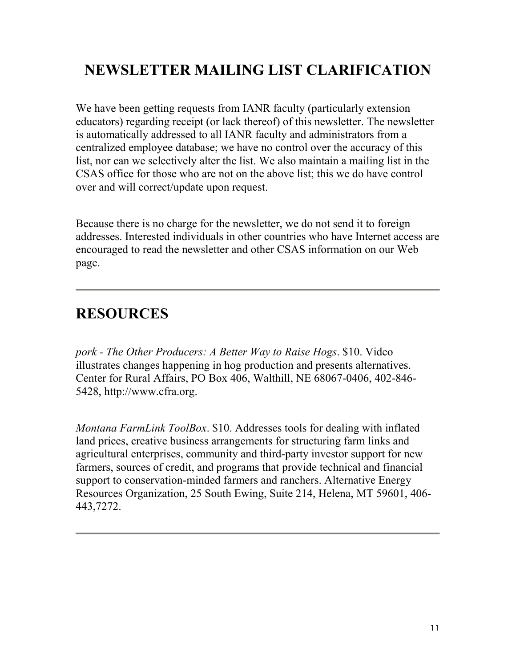## **NEWSLETTER MAILING LIST CLARIFICATION**

We have been getting requests from IANR faculty (particularly extension educators) regarding receipt (or lack thereof) of this newsletter. The newsletter is automatically addressed to all IANR faculty and administrators from a centralized employee database; we have no control over the accuracy of this list, nor can we selectively alter the list. We also maintain a mailing list in the CSAS office for those who are not on the above list; this we do have control over and will correct/update upon request.

Because there is no charge for the newsletter, we do not send it to foreign addresses. Interested individuals in other countries who have Internet access are encouraged to read the newsletter and other CSAS information on our Web page.

### **RESOURCES**

*pork - The Other Producers: A Better Way to Raise Hogs*. \$10. Video illustrates changes happening in hog production and presents alternatives. Center for Rural Affairs, PO Box 406, Walthill, NE 68067-0406, 402-846- 5428, http://www.cfra.org.

*Montana FarmLink ToolBox*. \$10. Addresses tools for dealing with inflated land prices, creative business arrangements for structuring farm links and agricultural enterprises, community and third-party investor support for new farmers, sources of credit, and programs that provide technical and financial support to conservation-minded farmers and ranchers. Alternative Energy Resources Organization, 25 South Ewing, Suite 214, Helena, MT 59601, 406- 443,7272.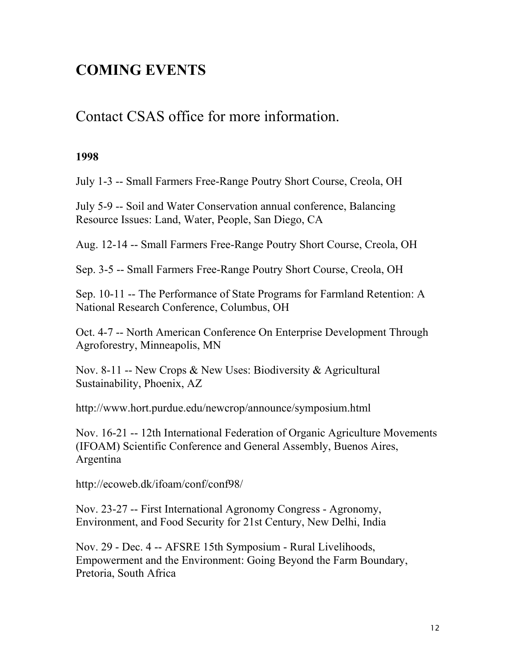### **COMING EVENTS**

#### Contact CSAS office for more information.

#### **1998**

July 1-3 -- Small Farmers Free-Range Poutry Short Course, Creola, OH

July 5-9 -- Soil and Water Conservation annual conference, Balancing Resource Issues: Land, Water, People, San Diego, CA

Aug. 12-14 -- Small Farmers Free-Range Poutry Short Course, Creola, OH

Sep. 3-5 -- Small Farmers Free-Range Poutry Short Course, Creola, OH

Sep. 10-11 -- The Performance of State Programs for Farmland Retention: A National Research Conference, Columbus, OH

Oct. 4-7 -- North American Conference On Enterprise Development Through Agroforestry, Minneapolis, MN

Nov. 8-11 -- New Crops & New Uses: Biodiversity & Agricultural Sustainability, Phoenix, AZ

http://www.hort.purdue.edu/newcrop/announce/symposium.html

Nov. 16-21 -- 12th International Federation of Organic Agriculture Movements (IFOAM) Scientific Conference and General Assembly, Buenos Aires, Argentina

http://ecoweb.dk/ifoam/conf/conf98/

Nov. 23-27 -- First International Agronomy Congress - Agronomy, Environment, and Food Security for 21st Century, New Delhi, India

Nov. 29 - Dec. 4 -- AFSRE 15th Symposium - Rural Livelihoods, Empowerment and the Environment: Going Beyond the Farm Boundary, Pretoria, South Africa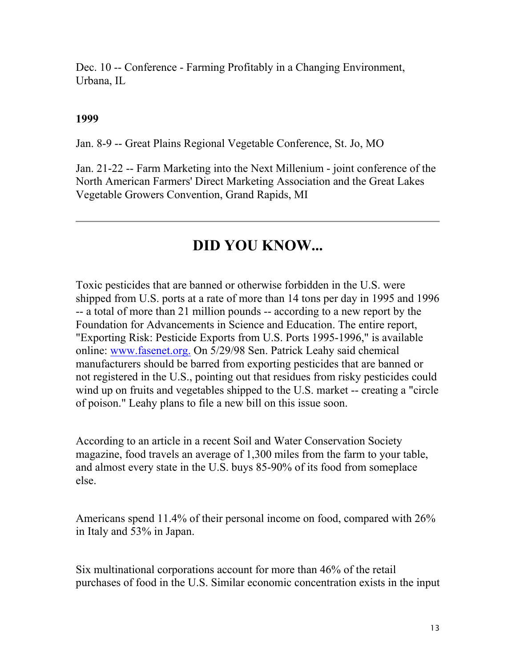Dec. 10 -- Conference - Farming Profitably in a Changing Environment, Urbana, IL

#### **1999**

Jan. 8-9 -- Great Plains Regional Vegetable Conference, St. Jo, MO

Jan. 21-22 -- Farm Marketing into the Next Millenium - joint conference of the North American Farmers' Direct Marketing Association and the Great Lakes Vegetable Growers Convention, Grand Rapids, MI

#### **DID YOU KNOW...**

Toxic pesticides that are banned or otherwise forbidden in the U.S. were shipped from U.S. ports at a rate of more than 14 tons per day in 1995 and 1996 -- a total of more than 21 million pounds -- according to a new report by the Foundation for Advancements in Science and Education. The entire report, "Exporting Risk: Pesticide Exports from U.S. Ports 1995-1996," is available online: www.fasenet.org. On 5/29/98 Sen. Patrick Leahy said chemical manufacturers should be barred from exporting pesticides that are banned or not registered in the U.S., pointing out that residues from risky pesticides could wind up on fruits and vegetables shipped to the U.S. market -- creating a "circle of poison." Leahy plans to file a new bill on this issue soon.

According to an article in a recent Soil and Water Conservation Society magazine, food travels an average of 1,300 miles from the farm to your table, and almost every state in the U.S. buys 85-90% of its food from someplace else.

Americans spend 11.4% of their personal income on food, compared with 26% in Italy and 53% in Japan.

Six multinational corporations account for more than 46% of the retail purchases of food in the U.S. Similar economic concentration exists in the input